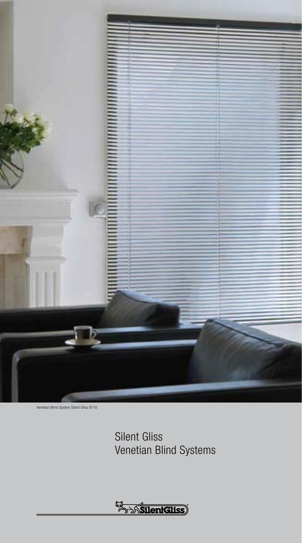

Venetian Blind System Silent Gliss 8110

Silent Gliss Venetian Blind Systems

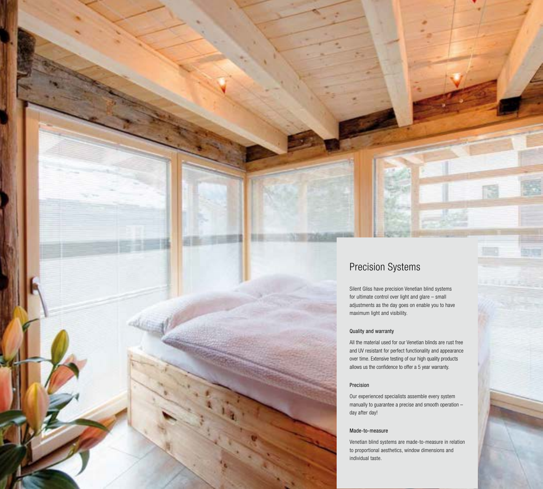

Silent Gliss have precision Venetian blind systems for ultimate control over light and glare – small adjustments as the day goes on enable you to have maximum light and visibility.

### Quality and warranty

All the material used for our Venetian blinds are rust free and UV resistant for perfect functionality and appearance over time. Extensive testing of our high quality products allows us the confidence to offer a 5 year warranty.

### Precision

Our experienced specialists assemble every system manually to guarantee a precise and smooth operation – day after day!

### Made-to-measure

Venetian blind systems are made-to-measure in relation to proportional aesthetics, window dimensions and individual taste.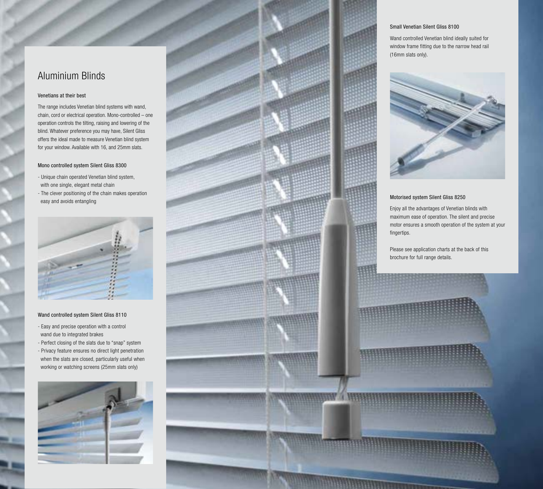### Aluminium Blinds

### Venetians at their best

The range includes Venetian blind systems with wand, chain, cord or electrical operation. Mono-controlled – one operation controls the tilting, raising and lowering of the blind. Whatever preference you may have, Silent Gliss offers the ideal made to measure Venetian blind system for your window. Available with 16, and 25mm slats.

### Mono controlled system Silent Gliss 8300

- Unique chain operated Venetian blind system, with one single, elegant metal chain
- The clever positioning of the chain makes operation easy and avoids entangling



#### Wand controlled system Silent Gliss 8110

- Easy and precise operation with a control wand due to integrated brakes
- Perfect closing of the slats due to "snap" system - Privacy feature ensures no direct light penetration when the slats are closed, particularly useful when working or watching screens (25mm slats only)



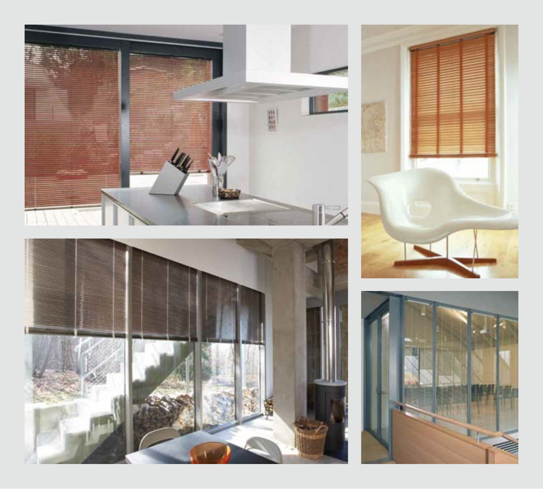





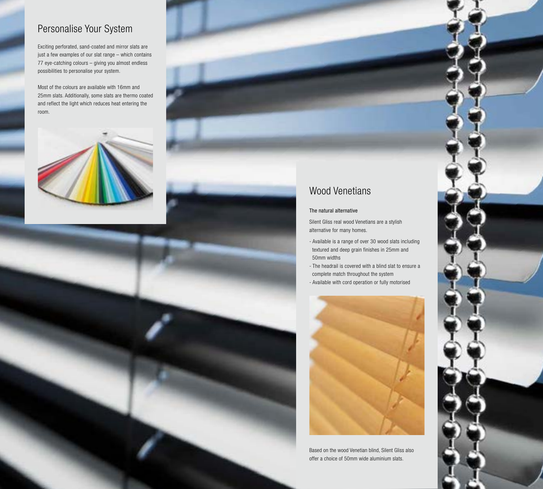### Personalise Your System

Exciting perforated, sand-coated and mirror slats are just a few examples of our slat range – which contains 77 eye-catching colours – giving you almost endless possibilities to personalise your system.

Most of the colours are available with 16mm and 25mm slats. Additionally, some slats are thermo coated and reflect the light which reduces heat entering the room.





## Wood Venetians

### The natural alternative

Silent Gliss real wood Venetians are a stylish alternative for many homes.

- Available is a range of over 30 wood slats including textured and deep grain finishes in 25mm and 50mm widths
- The headrail is covered with a blind slat to ensure a complete match throughout the system
- Available with cord operation or fully motorised



Based on the wood Venetian blind, Silent Gliss also offer a choice of 50mm wide aluminium slats.

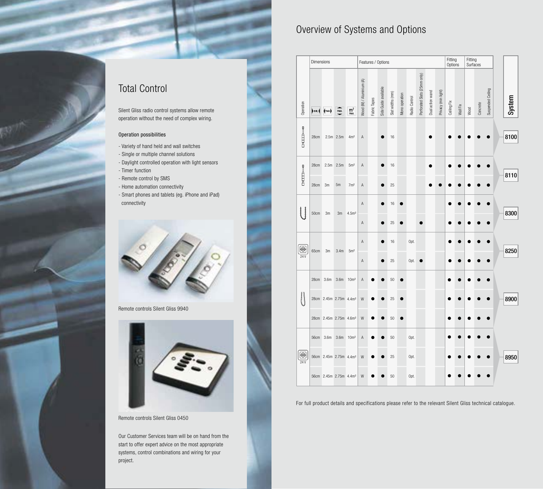# Overview of Systems and Options

|                      | Dimensions       |                                    | Features / Options |                           |                          |              |                      |                  |                |               |                              | Fitting<br>Options |                     | Fitting<br>Surfaces |          |      |          |                   |  |        |
|----------------------|------------------|------------------------------------|--------------------|---------------------------|--------------------------|--------------|----------------------|------------------|----------------|---------------|------------------------------|--------------------|---------------------|---------------------|----------|------|----------|-------------------|--|--------|
| Operation            | $\mathsf{m}$ n ( | $\left(\text{max}\right)$          | max.               | ${\rm m^2 \atop \rm max}$ | Wood (W) / Aluminium (A) | Fabric Tapes | Side Guide available | Slat widths (mm) | Mono operation | Radio Control | Perforated Slats (25mm only) | Dual action wand   | Privacy (min light) | Ceiling Fix         | Wall Fix | Wood | Concrete | Suspended Ceiling |  | System |
|                      | 28cm             |                                    | 2.5m 2.5m          | 4m <sup>2</sup>           | A                        |              |                      | 16               |                |               |                              |                    |                     |                     |          |      |          |                   |  | 8100   |
|                      | 28cm             |                                    | $2.5m$ 2.5m        | 5 <sup>m²</sup>           | A                        |              |                      | 16               |                |               |                              |                    |                     |                     |          |      |          |                   |  |        |
|                      | 28cm             | 3m                                 | 5m                 | 7 <sup>m²</sup>           | A                        |              |                      | 25               |                |               |                              |                    |                     |                     |          |      |          |                   |  | 8110   |
| acoocoog<br>ecoocoog | 50cm<br>3m       |                                    | 3m                 | 4.5 <sup>m</sup>          | A                        |              | O                    | 16               |                |               |                              |                    |                     |                     |          |      |          |                   |  | 8300   |
|                      |                  |                                    |                    |                           | A                        |              |                      | 25               |                |               |                              |                    |                     |                     |          |      |          |                   |  |        |
| €<br>24 V            | 65cm             | 3m                                 | 3.4 <sub>m</sub>   | 5 <sup>m²</sup>           | A                        |              |                      | 16               |                | Opt.          |                              |                    |                     |                     |          |      |          |                   |  | 8250   |
|                      |                  |                                    |                    |                           | $\mathsf A$              |              |                      | 25               |                | Opt.          |                              |                    |                     |                     |          |      |          |                   |  |        |
|                      | 28cm             | 3.6 <sub>m</sub>                   | 3.6 <sub>m</sub>   | 10 <sup>m²</sup>          | Α                        |              |                      | 50               |                |               |                              |                    |                     |                     |          |      |          |                   |  |        |
|                      |                  | 28cm 2.45m 2.75m 4.4m <sup>2</sup> |                    |                           | W                        |              |                      | 25               |                |               |                              |                    |                     |                     |          |      |          |                   |  | 8900   |
|                      |                  | 28cm 2.45m 2.75m 4.6m <sup>2</sup> |                    |                           | W                        |              |                      | 50               |                |               |                              |                    |                     |                     |          |      |          |                   |  |        |
|                      |                  | 56cm 3.6m 3.6m 10m <sup>2</sup>    |                    |                           | Α                        |              |                      | 50               |                | Opt.          |                              |                    |                     |                     |          |      |          |                   |  |        |
| 24 V                 |                  | 56cm 2.45m 2.75m 4.4m <sup>2</sup> |                    |                           | W                        |              |                      | 25               |                | Opt.          |                              |                    |                     |                     |          |      |          |                   |  | 8950   |
|                      |                  | 56cm 2.45m 2.75m 4.4m <sup>2</sup> |                    |                           | W                        |              |                      | 50               |                | Opt.          |                              |                    |                     |                     |          |      |          |                   |  |        |

For full product details and specifications please refer to the relevant Silent Gliss technical catalogue.

# Total Control

Silent Gliss radio control systems allow remote operation without the need of complex wiring.

### Operation possibilities

- Variety of hand held and wall switches
- Single or multiple channel solutions
- Daylight controlled operation with light sensors
- Timer function
- Remote control by SMS
- Home automation connectivity
- Smart phones and tablets (eg. iPhone and iPad) connectivity



Remote controls Silent Gliss 9940



Remote controls Silent Gliss 0450

Our Customer Services team will be on hand from the start to offer expert advice on the most appropriate systems, control combinations and wiring for your project.